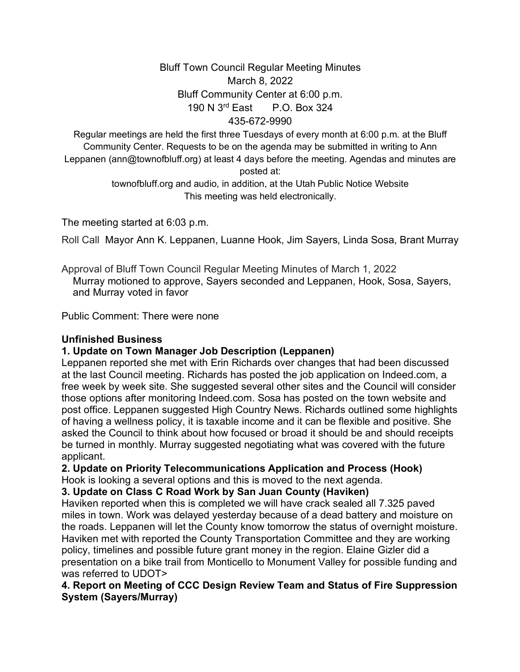## Bluff Town Council Regular Meeting Minutes March 8, 2022 Bluff Community Center at 6:00 p.m. 190 N 3rd East P.O. Box 324 435-672-9990

Regular meetings are held the first three Tuesdays of every month at 6:00 p.m. at the Bluff Community Center. Requests to be on the agenda may be submitted in writing to Ann Leppanen (ann@townofbluff.org) at least 4 days before the meeting. Agendas and minutes are posted at:

> townofbluff.org and audio, in addition, at the Utah Public Notice Website This meeting was held electronically.

The meeting started at 6:03 p.m.

Roll Call Mayor Ann K. Leppanen, Luanne Hook, Jim Sayers, Linda Sosa, Brant Murray

Approval of Bluff Town Council Regular Meeting Minutes of March 1, 2022 Murray motioned to approve, Sayers seconded and Leppanen, Hook, Sosa, Sayers, and Murray voted in favor

Public Comment: There were none

## **Unfinished Business**

## **1. Update on Town Manager Job Description (Leppanen)**

Leppanen reported she met with Erin Richards over changes that had been discussed at the last Council meeting. Richards has posted the job application on Indeed.com, a free week by week site. She suggested several other sites and the Council will consider those options after monitoring Indeed.com. Sosa has posted on the town website and post office. Leppanen suggested High Country News. Richards outlined some highlights of having a wellness policy, it is taxable income and it can be flexible and positive. She asked the Council to think about how focused or broad it should be and should receipts be turned in monthly. Murray suggested negotiating what was covered with the future applicant.

**2. Update on Priority Telecommunications Application and Process (Hook)**

Hook is looking a several options and this is moved to the next agenda.

## **3. Update on Class C Road Work by San Juan County (Haviken)**

Haviken reported when this is completed we will have crack sealed all 7.325 paved miles in town. Work was delayed yesterday because of a dead battery and moisture on the roads. Leppanen will let the County know tomorrow the status of overnight moisture. Haviken met with reported the County Transportation Committee and they are working policy, timelines and possible future grant money in the region. Elaine Gizler did a presentation on a bike trail from Monticello to Monument Valley for possible funding and was referred to UDOT>

## **4. Report on Meeting of CCC Design Review Team and Status of Fire Suppression System (Sayers/Murray)**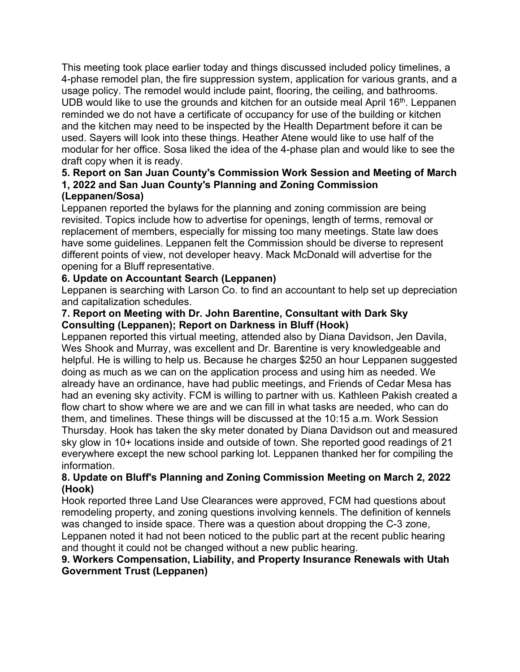This meeting took place earlier today and things discussed included policy timelines, a 4-phase remodel plan, the fire suppression system, application for various grants, and a usage policy. The remodel would include paint, flooring, the ceiling, and bathrooms. UDB would like to use the grounds and kitchen for an outside meal April  $16<sup>th</sup>$ . Leppanen reminded we do not have a certificate of occupancy for use of the building or kitchen and the kitchen may need to be inspected by the Health Department before it can be used. Sayers will look into these things. Heather Atene would like to use half of the modular for her office. Sosa liked the idea of the 4-phase plan and would like to see the draft copy when it is ready.

# **5. Report on San Juan County's Commission Work Session and Meeting of March 1, 2022 and San Juan County's Planning and Zoning Commission**

# **(Leppanen/Sosa)**

Leppanen reported the bylaws for the planning and zoning commission are being revisited. Topics include how to advertise for openings, length of terms, removal or replacement of members, especially for missing too many meetings. State law does have some guidelines. Leppanen felt the Commission should be diverse to represent different points of view, not developer heavy. Mack McDonald will advertise for the opening for a Bluff representative.

# **6. Update on Accountant Search (Leppanen)**

Leppanen is searching with Larson Co. to find an accountant to help set up depreciation and capitalization schedules.

## **7. Report on Meeting with Dr. John Barentine, Consultant with Dark Sky Consulting (Leppanen); Report on Darkness in Bluff (Hook)**

Leppanen reported this virtual meeting, attended also by Diana Davidson, Jen Davila, Wes Shook and Murray, was excellent and Dr. Barentine is very knowledgeable and helpful. He is willing to help us. Because he charges \$250 an hour Leppanen suggested doing as much as we can on the application process and using him as needed. We already have an ordinance, have had public meetings, and Friends of Cedar Mesa has had an evening sky activity. FCM is willing to partner with us. Kathleen Pakish created a flow chart to show where we are and we can fill in what tasks are needed, who can do them, and timelines. These things will be discussed at the 10:15 a.m. Work Session Thursday. Hook has taken the sky meter donated by Diana Davidson out and measured sky glow in 10+ locations inside and outside of town. She reported good readings of 21 everywhere except the new school parking lot. Leppanen thanked her for compiling the information.

## **8. Update on Bluff's Planning and Zoning Commission Meeting on March 2, 2022 (Hook)**

Hook reported three Land Use Clearances were approved, FCM had questions about remodeling property, and zoning questions involving kennels. The definition of kennels was changed to inside space. There was a question about dropping the C-3 zone, Leppanen noted it had not been noticed to the public part at the recent public hearing and thought it could not be changed without a new public hearing.

# **9. Workers Compensation, Liability, and Property Insurance Renewals with Utah Government Trust (Leppanen)**